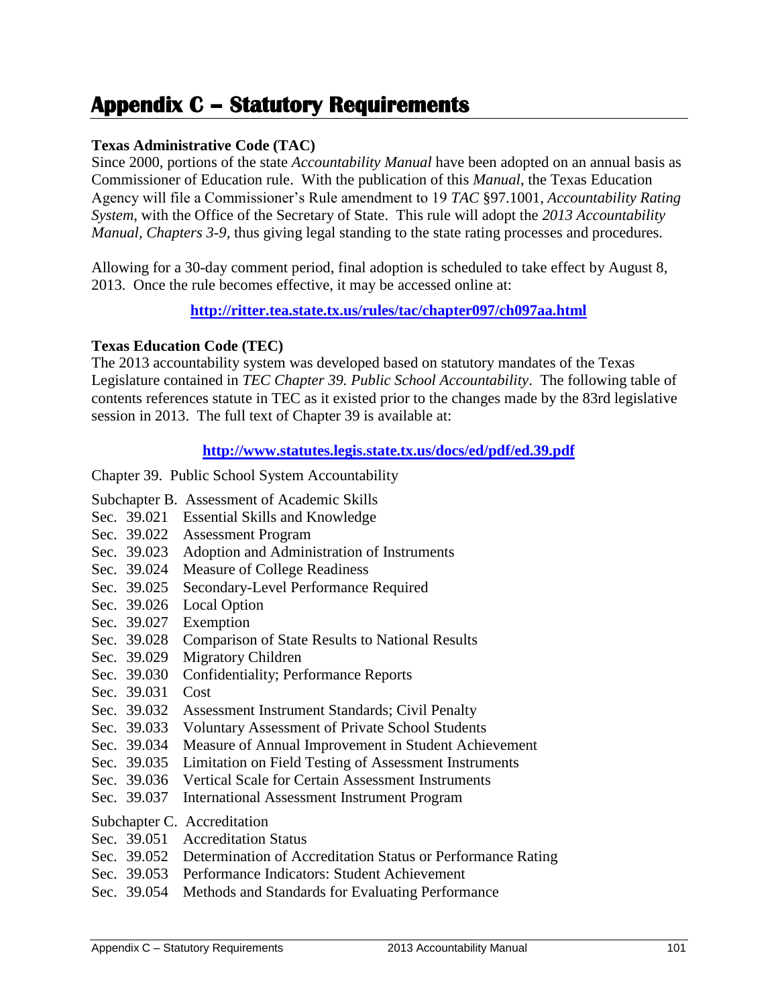## **Appendix C – Statutory Requirements**

## **Texas Administrative Code (TAC)**

Since 2000, portions of the state *Accountability Manual* have been adopted on an annual basis as Commissioner of Education rule. With the publication of this *Manual*, the Texas Education Agency will file a Commissioner's Rule amendment to 19 *TAC* §97.1001, *Accountability Rating System,* with the Office of the Secretary of State. This rule will adopt the *2013 Accountability Manual, Chapters 3-9,* thus giving legal standing to the state rating processes and procedures.

Allowing for a 30-day comment period, final adoption is scheduled to take effect by August 8, 2013. Once the rule becomes effective, it may be accessed online at:

**<http://ritter.tea.state.tx.us/rules/tac/chapter097/ch097aa.html>**

## **Texas Education Code (TEC)**

The 2013 accountability system was developed based on statutory mandates of the Texas Legislature contained in *TEC Chapter 39. Public School Accountability*. The following table of contents references statute in TEC as it existed prior to the changes made by the 83rd legislative session in 2013. The full text of Chapter 39 is available at:

## **<http://www.statutes.legis.state.tx.us/docs/ed/pdf/ed.39.pdf>**

Chapter 39. Public School System Accountability

- Subchapter B. Assessment of Academic Skills
- Sec. 39.021 Essential Skills and Knowledge
- Sec. 39.022 Assessment Program
- Sec. 39.023 Adoption and Administration of Instruments
- Sec. 39.024 Measure of College Readiness
- Sec. 39.025 Secondary-Level Performance Required
- Sec. 39.026 Local Option
- Sec. 39.027 Exemption
- Sec. 39.028 Comparison of State Results to National Results
- Sec. 39.029 Migratory Children
- Sec. 39.030 Confidentiality; Performance Reports
- Sec. 39.031 Cost
- Sec. 39.032 Assessment Instrument Standards; Civil Penalty
- Sec. 39.033 Voluntary Assessment of Private School Students
- Sec. 39.034 Measure of Annual Improvement in Student Achievement
- Sec. 39.035 Limitation on Field Testing of Assessment Instruments
- Sec. 39.036 Vertical Scale for Certain Assessment Instruments
- Sec. 39.037 International Assessment Instrument Program
- Subchapter C. Accreditation
- Sec. 39.051 Accreditation Status
- Sec. 39.052 Determination of Accreditation Status or Performance Rating
- Sec. 39.053 Performance Indicators: Student Achievement
- Sec. 39.054 Methods and Standards for Evaluating Performance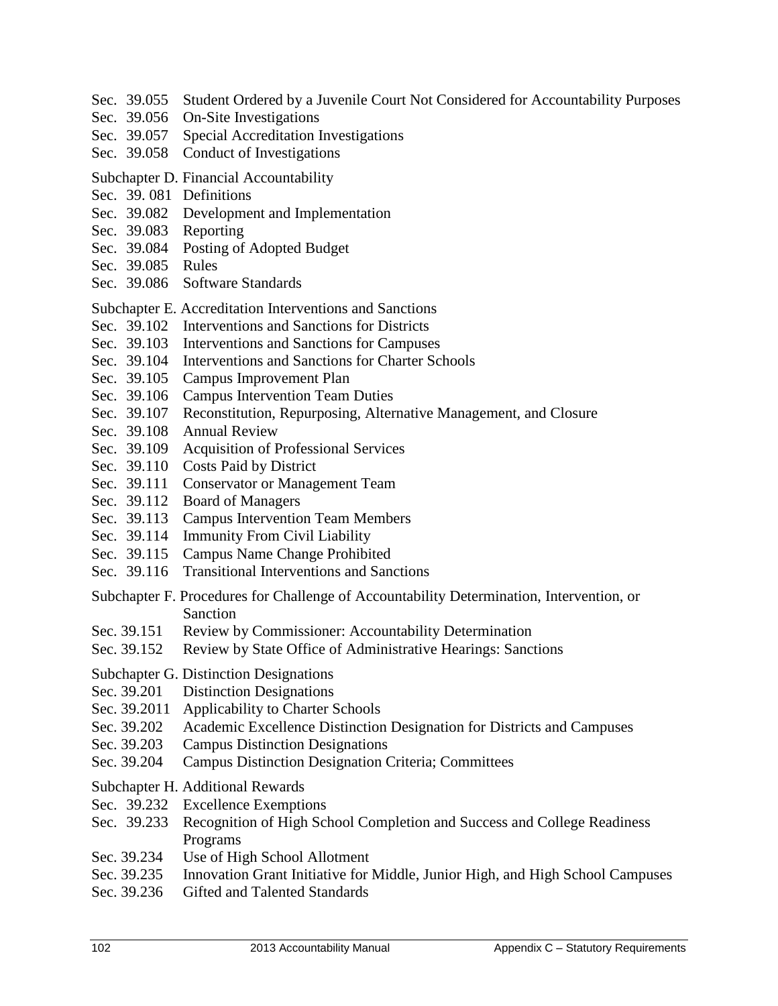- Sec. 39.055 Student Ordered by a Juvenile Court Not Considered for Accountability Purposes
- Sec. 39.056 On-Site Investigations
- Sec. 39.057 Special Accreditation Investigations
- Sec. 39.058 Conduct of Investigations
- Subchapter D. Financial Accountability
- Sec. 39. 081 Definitions
- Sec. 39.082 Development and Implementation
- Sec. 39.083 Reporting
- Sec. 39.084 Posting of Adopted Budget
- Sec. 39.085 Rules
- Sec. 39.086 Software Standards
- Subchapter E. Accreditation Interventions and Sanctions
- Sec. 39.102 Interventions and Sanctions for Districts
- Sec. 39.103 Interventions and Sanctions for Campuses
- Sec. 39.104 Interventions and Sanctions for Charter Schools
- Sec. 39.105 Campus Improvement Plan
- Sec. 39.106 Campus Intervention Team Duties
- Sec. 39.107 Reconstitution, Repurposing, Alternative Management, and Closure
- Sec. 39.108 Annual Review
- Sec. 39.109 Acquisition of Professional Services
- Sec. 39.110 Costs Paid by District
- Sec. 39.111 Conservator or Management Team
- Sec. 39.112 Board of Managers
- Sec. 39.113 Campus Intervention Team Members
- Sec. 39.114 Immunity From Civil Liability
- Sec. 39.115 Campus Name Change Prohibited
- Sec. 39.116 Transitional Interventions and Sanctions
- Subchapter F. Procedures for Challenge of Accountability Determination, Intervention, or Sanction
- Sec. 39.151 Review by Commissioner: Accountability Determination
- Sec. 39.152 Review by State Office of Administrative Hearings: Sanctions
- Subchapter G. Distinction Designations
- Sec. 39.201 Distinction Designations
- Sec. 39.2011 Applicability to Charter Schools
- Sec. 39.202 Academic Excellence Distinction Designation for Districts and Campuses
- Sec. 39.203 Campus Distinction Designations
- Sec. 39.204 Campus Distinction Designation Criteria; Committees
- Subchapter H. Additional Rewards
- Sec. 39.232 Excellence Exemptions
- Sec. 39.233 Recognition of High School Completion and Success and College Readiness Programs
- Sec. 39.234 Use of High School Allotment
- Sec. 39.235 Innovation Grant Initiative for Middle, Junior High, and High School Campuses
- Sec. 39.236 Gifted and Talented Standards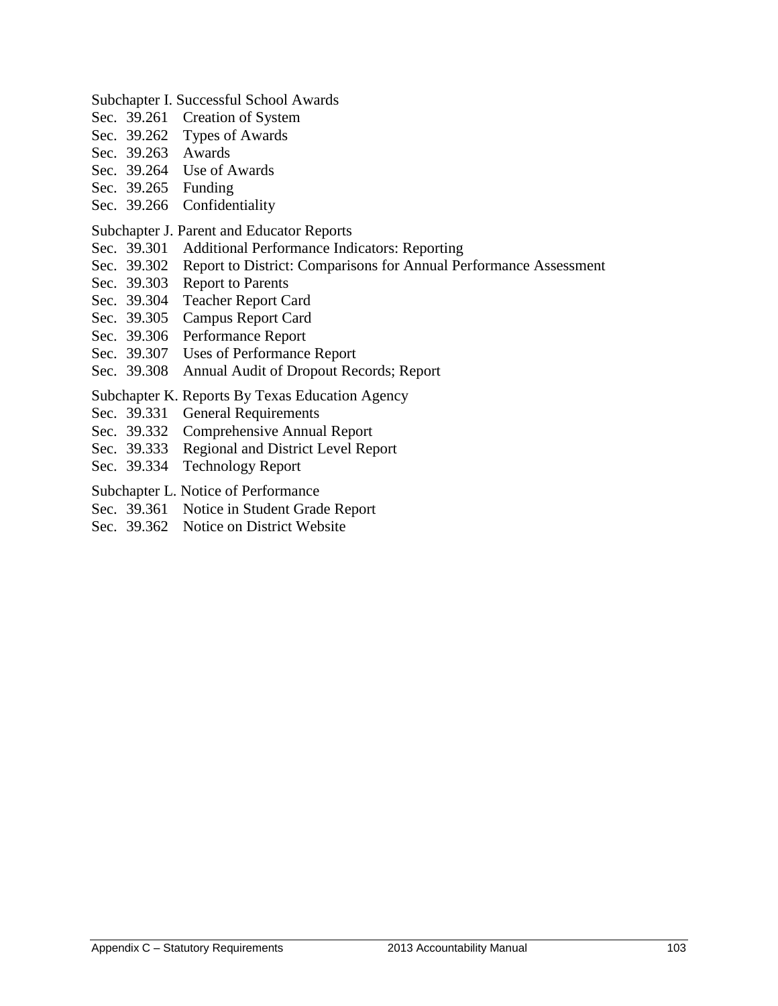- Subchapter I. Successful School Awards
- Sec. 39.261 Creation of System
- Sec. 39.262 Types of Awards
- Sec. 39.263 Awards
- Sec. 39.264 Use of Awards
- Sec. 39.265 Funding
- Sec. 39.266 Confidentiality
- Subchapter J. Parent and Educator Reports
- Sec. 39.301 Additional Performance Indicators: Reporting
- Sec. 39.302 Report to District: Comparisons for Annual Performance Assessment
- Sec. 39.303 Report to Parents
- Sec. 39.304 Teacher Report Card
- Sec. 39.305 Campus Report Card
- Sec. 39.306 Performance Report
- Sec. 39.307 Uses of Performance Report
- Sec. 39.308 Annual Audit of Dropout Records; Report
- Subchapter K. Reports By Texas Education Agency
- Sec. 39.331 General Requirements
- Sec. 39.332 Comprehensive Annual Report
- Sec. 39.333 Regional and District Level Report
- Sec. 39.334 Technology Report
- Subchapter L. Notice of Performance
- Sec. 39.361 Notice in Student Grade Report
- Sec. 39.362 Notice on District Website